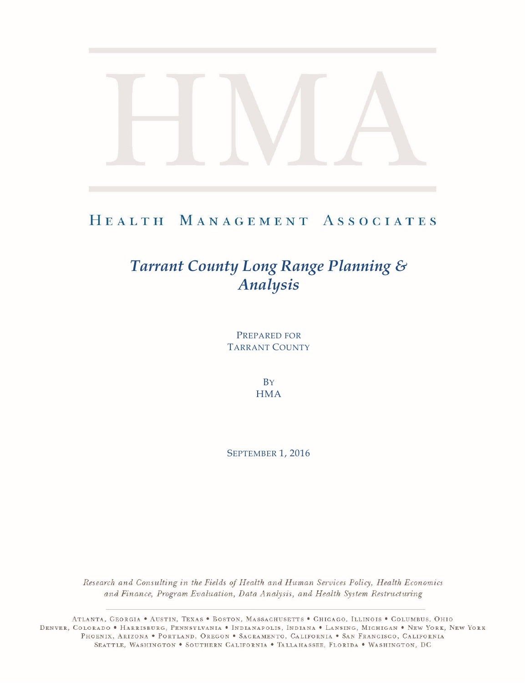# HEALTH MANAGEMENT ASSOCIATES

# *Tarrant County Long Range Planning & Analysis*

PREPARED FOR TARRANT COUNTY

> **B**Y **HMA**

SEPTEMBER 1, 2016

Research and Consulting in the Fields of Health and Human Services Policy, Health Economics and Finance, Program Evaluation, Data Analysis, and Health System Restructuring

ATLANTA, GEORGIA . AUSTIN, TEXAS . BOSTON, MASSACHUSETTS . CHICAGO, ILLINOIS . COLUMBUS, OHIO DENVER, COLORADO • HARRISBURG, PENNSYLVANIA • INDIANAPOLIS, INDIANA • LANSING, MICHIGAN • NEW YORK, NEW YORK PHOENIX, ARIZONA . PORTLAND, OREGON . SACRAMENTO, CALIFORNIA . SAN FRANCISCO, CALIFORNIA SEATTLE, WASHINGTON . SOUTHERN CALIFORNIA . TALLAHASSEE, FLORIDA . WASHINGTON, DC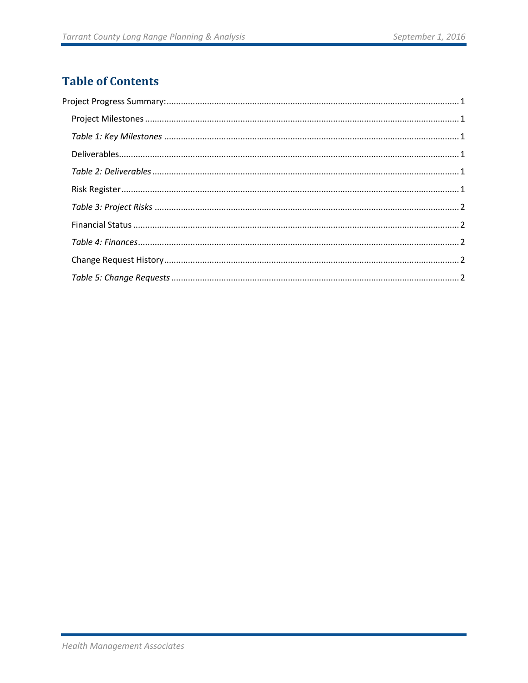# **Table of Contents**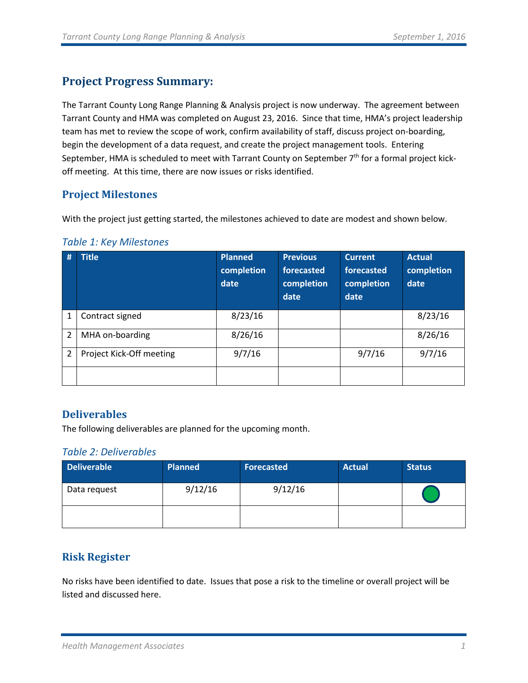## <span id="page-2-0"></span>**Project Progress Summary:**

The Tarrant County Long Range Planning & Analysis project is now underway. The agreement between Tarrant County and HMA was completed on August 23, 2016. Since that time, HMA's project leadership team has met to review the scope of work, confirm availability of staff, discuss project on-boarding, begin the development of a data request, and create the project management tools. Entering September, HMA is scheduled to meet with Tarrant County on September 7<sup>th</sup> for a formal project kickoff meeting. At this time, there are now issues or risks identified.

### <span id="page-2-1"></span>**Project Milestones**

With the project just getting started, the milestones achieved to date are modest and shown below.

<span id="page-2-2"></span>

|  |  |  |  |  | <b>Table 1: Key Milestones</b> |
|--|--|--|--|--|--------------------------------|
|--|--|--|--|--|--------------------------------|

| #              | <b>Title</b>             | <b>Planned</b><br>completion<br>date | <b>Previous</b><br>forecasted<br>completion<br>date | <b>Current</b><br>forecasted<br>completion<br>date | <b>Actual</b><br>completion<br>date |
|----------------|--------------------------|--------------------------------------|-----------------------------------------------------|----------------------------------------------------|-------------------------------------|
|                | Contract signed          | 8/23/16                              |                                                     |                                                    | 8/23/16                             |
| $\overline{2}$ | MHA on-boarding          | 8/26/16                              |                                                     |                                                    | 8/26/16                             |
| $\overline{2}$ | Project Kick-Off meeting | 9/7/16                               |                                                     | 9/7/16                                             | 9/7/16                              |
|                |                          |                                      |                                                     |                                                    |                                     |

#### <span id="page-2-3"></span>**Deliverables**

The following deliverables are planned for the upcoming month.

#### <span id="page-2-4"></span>*Table 2: Deliverables*

| <b>Deliverable</b> | <b>Planned</b> | <b>Forecasted</b> | <b>Actual</b> | <b>Status</b> |
|--------------------|----------------|-------------------|---------------|---------------|
| Data request       | 9/12/16        | 9/12/16           |               |               |
|                    |                |                   |               |               |

### <span id="page-2-5"></span>**Risk Register**

No risks have been identified to date. Issues that pose a risk to the timeline or overall project will be listed and discussed here.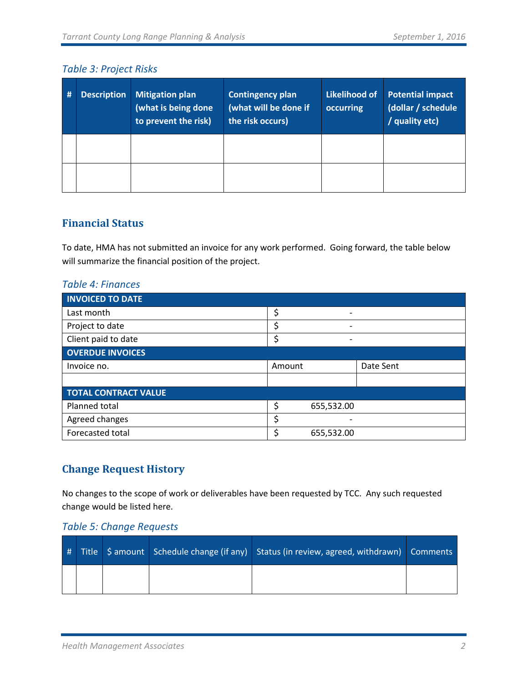#### <span id="page-3-0"></span>*Table 3: Project Risks*

| # | <b>Description</b> | <b>Mitigation plan</b><br>(what is being done<br>to prevent the risk) | <b>Contingency plan</b><br>(what will be done if<br>the risk occurs) | <b>Likelihood of</b><br>occurring | <b>Potential impact</b><br>(dollar / schedule<br>/ quality etc) |
|---|--------------------|-----------------------------------------------------------------------|----------------------------------------------------------------------|-----------------------------------|-----------------------------------------------------------------|
|   |                    |                                                                       |                                                                      |                                   |                                                                 |
|   |                    |                                                                       |                                                                      |                                   |                                                                 |

#### <span id="page-3-1"></span>**Financial Status**

To date, HMA has not submitted an invoice for any work performed. Going forward, the table below will summarize the financial position of the project.

<span id="page-3-2"></span>

| <b>Table 4: Finances</b> |  |  |  |
|--------------------------|--|--|--|
|                          |  |  |  |

| <b>INVOICED TO DATE</b>     |        |                          |           |
|-----------------------------|--------|--------------------------|-----------|
| Last month                  | \$     |                          |           |
| Project to date             | \$     | $\overline{\phantom{0}}$ |           |
| Client paid to date         | Ś      | $\overline{\phantom{0}}$ |           |
| <b>OVERDUE INVOICES</b>     |        |                          |           |
| Invoice no.                 | Amount |                          | Date Sent |
|                             |        |                          |           |
| <b>TOTAL CONTRACT VALUE</b> |        |                          |           |
| Planned total               | \$     | 655,532.00               |           |
| Agreed changes              | \$     |                          |           |
| Forecasted total            | \$     | 655,532.00               |           |

### <span id="page-3-3"></span>**Change Request History**

No changes to the scope of work or deliverables have been requested by TCC. Any such requested change would be listed here.

#### <span id="page-3-4"></span>*Table 5: Change Requests*

|  |  | # Title Samount Schedule change (if any) Status (in review, agreed, withdrawn) Comments |  |
|--|--|-----------------------------------------------------------------------------------------|--|
|  |  |                                                                                         |  |